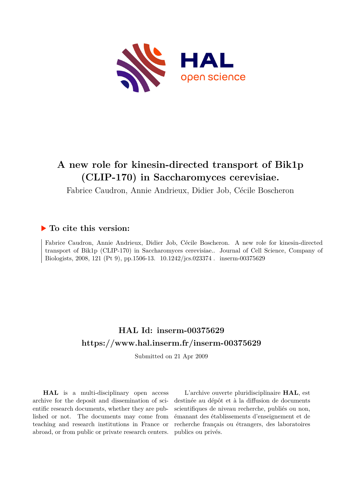

# **A new role for kinesin-directed transport of Bik1p (CLIP-170) in Saccharomyces cerevisiae.**

Fabrice Caudron, Annie Andrieux, Didier Job, Cécile Boscheron

### **To cite this version:**

Fabrice Caudron, Annie Andrieux, Didier Job, Cécile Boscheron. A new role for kinesin-directed transport of Bik1p (CLIP-170) in Saccharomyces cerevisiae.. Journal of Cell Science, Company of Biologists, 2008, 121 (Pt 9), pp.1506-13. 10.1242/jcs.023374 . inserm-00375629

## **HAL Id: inserm-00375629 <https://www.hal.inserm.fr/inserm-00375629>**

Submitted on 21 Apr 2009

**HAL** is a multi-disciplinary open access archive for the deposit and dissemination of scientific research documents, whether they are published or not. The documents may come from teaching and research institutions in France or abroad, or from public or private research centers.

L'archive ouverte pluridisciplinaire **HAL**, est destinée au dépôt et à la diffusion de documents scientifiques de niveau recherche, publiés ou non, émanant des établissements d'enseignement et de recherche français ou étrangers, des laboratoires publics ou privés.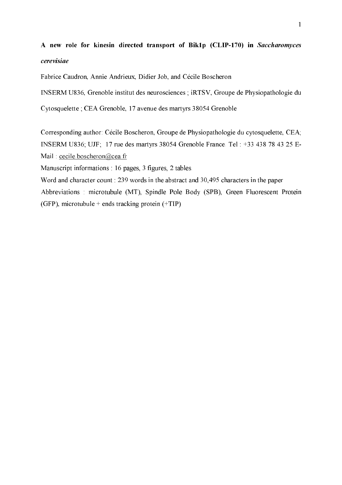# A new role for kinesin directed transport of Bik1p (CLIP-170) in Saccharomyces *cerevisiae*

Fabrice Caudron, Annie Andrieux, Didier Job, and Cécile Boscheron

INSERM U836, Grenoble institut des neurosciences ; iRTSV, Groupe de Physiopathologie du

Cytosquelette ; CEA Grenoble, 17 avenue des martyrs 38054 Grenoble

Corresponding author: Cécile Boscheron, Groupe de Physiopathologie du cytosquelette, CEA; INSERM U836; UJF; 17 rue des martyrs 38054 Grenoble France. Tel : +33 438 78 43 25 E-Mail : cecile.boscheron@cea.fr

Manuscript informations : 16 pages, 3 figures, 2 tables.

Word and character count : 239 words in the abstract and 30,495 characters in the paper Abbreviations : microtubule (MT), Spindle Pole Body (SPB), Green Fluorescent Protein (GFP), microtubule + ends tracking protein  $(+TIP)$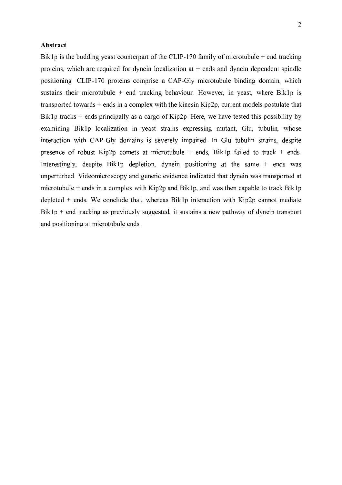#### **Abstract**

Bik1p is the budding yeast counterpart of the CLIP-170 family of microtubule  $+$  end tracking proteins, which are required for dynein localization at  $+$  ends and dynein dependent spindle positioning. CLIP-170 proteins comprise a CAP-Gly microtubule binding domain, which sustains their microtubule  $+$  end tracking behaviour. However, in yeast, where Bik1p is transported towards + ends in a complex with the kinesin Kip2p, current models postulate that Bik1p tracks + ends principally as a cargo of Kip2p. Here, we have tested this possibility by examining Bik1p localization in yeast strains expressing mutant, Glu, tubulin, whose interaction with CAP-Gly domains is severely impaired. In Glu tubulin strains, despite presence of robust Kip2p comets at microtubule  $+$  ends, Bik1p failed to track  $+$  ends. Interestingly, despite Bik1p depletion, dynein positioning at the same + ends was unperturbed. Videomicroscopy and genetic evidence indicated that dynein was transported at microtubule + ends in a complex with Kip2p and Bik1p, and was then capable to track Bik1p depleted  $+$  ends. We conclude that, whereas Bik1p interaction with Kip2p cannot mediate  $Bik1p + end$  tracking as previously suggested, it sustains a new pathway of dynein transport and positioning at microtubule ends.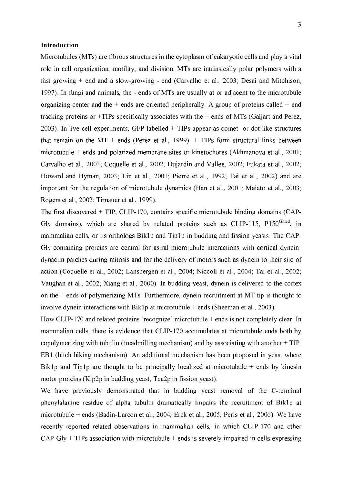#### Introduction

Microtubules (MTs) are fibrous structures in the cytoplasm of eukaryotic cells and play a vital role in cell organization, motility, and division. MTs are intrinsically polar polymers with a fast growing  $+$  end and a slow-growing  $-$  end (Carvalho et al., 2003; Desai and Mitchison, 1997). In fungi and animals, the - ends of MTs are usually at or adjacent to the microtubule organizing center and the  $+$  ends are oriented peripherally. A group of proteins called  $+$  end tracking proteins or +TIPs specifically associates with the + ends of MTs (Galjart and Perez, 2003). In live cell experiments, GFP-labelled  $+$  TIPs appear as comet- or dot-like structures that remain on the  $MT$  + ends (Perez et al., 1999). + TIPs form structural links between microtubule + ends and polarized membrane sites or kinetochores (Akhmanova et al., 2001; Carvalho et al., 2003; Coquelle et al., 2002; Dujardin and Vallee, 2002; Fukata et al., 2002; Howard and Hyman, 2003; Lin et al., 2001; Pierre et al., 1992; Tai et al., 2002) and are important for the regulation of microtubule dynamics (Han et al., 2001; Maiato et al., 2003; Rogers et al., 2002; Tirnauer et al., 1999).

The first discovered  $+$  TIP, CLIP-170, contains specific microtubule binding domains (CAP-Gly domains), which are shared by related proteins such as CLIP-115, P150<sup>Glued</sup>, in mammalian cells, or its orthologs Bik1p and Tip1p in budding and fission yeasts. The CAP-Gly-containing proteins are central for astral microtubule interactions with cortical dyneindynactin patches during mitosis and for the delivery of motors such as dynein to their site of action (Coquelle et al., 2002; Lansbergen et al., 2004; Niccoli et al., 2004; Tai et al., 2002; Vaughan et al., 2002; Xiang et al., 2000). In budding yeast, dynein is delivered to the cortex on the  $+$  ends of polymerizing MTs. Furthermore, dynein recruitment at MT tip is thought to involve dynein interactions with Bik1p at microtubule  $+$  ends (Sheeman et al., 2003).

How CLIP-170 and related proteins 'recognize' microtubule  $+$  ends is not completely clear. In mammalian cells, there is evidence that CLIP-170 accumulates at microtubule ends both by copolymerizing with tubulin (treadmilling mechanism) and by associating with another + TIP, EB1 (hitch hiking mechanism). An additional mechanism has been proposed in yeast where Bik1p and Tip1p are thought to be principally localized at microtubule  $+$  ends by kinesin motor proteins (Kip2p in budding yeast, Tea2p in fission yeast).

We have previously demonstrated that in budding yeast removal of the C-terminal phenylalanine residue of alpha tubulin dramatically impairs the recruitment of Bik1p at microtubule + ends (Badin-Larcon et al., 2004; Erck et al., 2005; Peris et al., 2006). We have recently reported related observations in mammalian cells, in which CLIP-170 and other  $CAP-Gly + TIPs$  association with microtubule + ends is severely impaired in cells expressing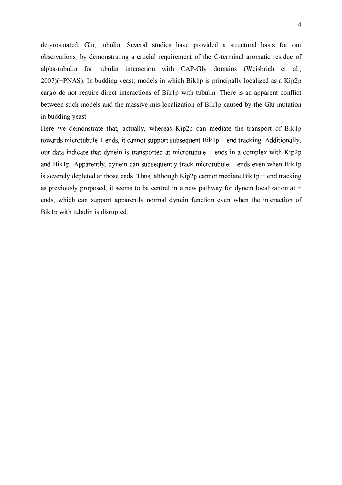detyrosinated, Glu, tubulin. Several studies have provided a structural basis for our observations, by demonstrating a crucial requirement of the C-terminal aromatic residue of alpha-tubulin for tubulin interaction with CAP-Gly domains (Weisbrich et al., 2007)(+PNAS). In budding yeast; models in which Bik1p is principally localized as a Kip2p cargo do not require direct interactions of Bik1p with tubulin. There is an apparent conflict between such models and the massive mis-localization of Bik1p caused by the Glu mutation in budding yeast.

Here we demonstrate that, actually, whereas Kip2p can mediate the transport of Bik1p towards microtubule + ends, it cannot support subsequent  $Bik1p$  + end tracking. Additionally, our data indicate that dynein is transported at microtubule  $+$  ends in a complex with Kip2p and Bik1p. Apparently, dynein can subsequently track microtubule  $+$  ends even when Bik1p is severely depleted at those ends. Thus, although Kip2p cannot mediate Bik1p + end tracking as previously proposed, it seems to be central in a new pathway for dynein localization at  $+$ ends, which can support apparently normal dynein function even when the interaction of Bik1p with tubulin is disrupted.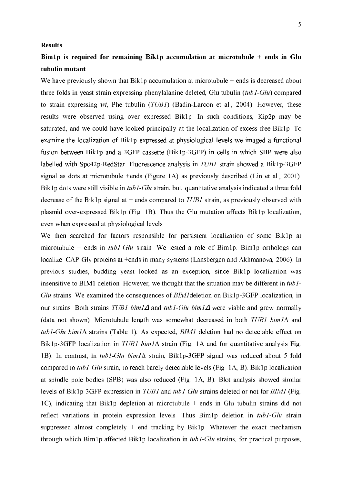#### Results

## Bim1p is required for remaining Bik1p accumulation at microtubule + ends in Glu tubulin mutant

We have previously shown that Bik1p accumulation at microtubule  $+$  ends is decreased about three folds in yeast strain expressing phenylalanine deleted, Glu tubulin  $(tub1-Glu)$  compared to strain expressing wt, Phe tubulin ( $TUBI$ ) (Badin-Larcon et al., 2004). However, these results were observed using over expressed Bik1p. In such conditions, Kip2p may be saturated, and we could have looked principally at the localization of excess free Bik1p. To examine the localization of Bik1p expressed at physiological levels we imaged a functional fusion between Bik1p and a 3GFP cassette (Bik1p-3GFP) in cells in which SBP were also labelled with Spc42p-RedStar. Fluorescence analysis in  $TUBI$  strain showed a Bik1p-3GFP signal as dots at microtubule +ends (Figure 1A) as previously described (Lin et al., 2001). Bik1p dots were still visible in tub1-Glu strain, but, quantitative analysis indicated a three fold decrease of the Bik1p signal at + ends compared to  $TUBI$  strain, as previously observed with plasmid over-expressed Bik1p (Fig. 1B). Thus the Glu mutation affects Bik1p localization, even when expressed at physiological levels.

We then searched for factors responsible for persistent localization of some Bik1p at microtubule + ends in  $tub1-Glu$  strain. We tested a role of Bim1p. Bim1p orthologs can localize CAP-Gly proteins at +ends in many systems (Lansbergen and Akhmanova, 2006). In previous studies, budding yeast looked as an exception, since Bik1p localization was insensitive to BIM1 deletion. However, we thought that the situation may be different in  $tub1$ -Glu strains. We examined the consequences of  $BIMI$ deletion on Bik1p-3GFP localization, in our strains. Both strains *TUB1 bim1* $\Delta$  and tub1-Glu bim1 $\Delta$  were viable and grew normally (data not shown). Microtubule length was somewhat decreased in both TUB1 bim1 $\Delta$  and tub1-Glu bim1 $\Delta$  strains (Table 1). As expected, BIM1 deletion had no detectable effect on Bik1p-3GFP localization in *TUB1 bim1* $\Delta$  strain (Fig. 1A and for quantitative analysis Fig. 1B). In contrast, in tub1-Glu bim1 $\Delta$  strain, Bik1p-3GFP signal was reduced about 5 fold compared to tub1-Glu strain, to reach barely detectable levels (Fig. 1A, B). Bik1p localization at spindle pole bodies (SPB) was also reduced (Fig. 1A, B). Blot analysis showed similar levels of Bik1p-3GFP expression in *TUB1* and  $tub1-Glu$  strains deleted or not for *BIM1* (Fig. 1C), indicating that Bik1p depletion at microtubule + ends in Glu tubulin strains did not reflect variations in protein expression levels. Thus Bim1p deletion in  $tub1-Glu$  strain suppressed almost completely  $+$  end tracking by Bik1p. Whatever the exact mechanism through which Bim1p affected Bik1p localization in  $tub1-Glu$  strains, for practical purposes,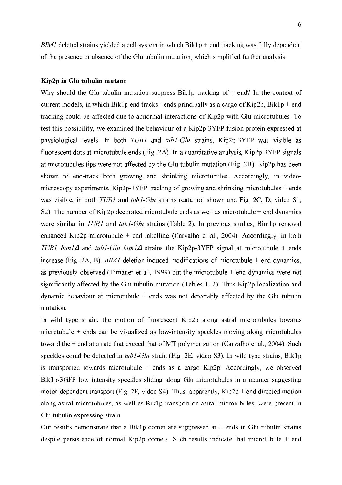$BIMI$  deleted strains yielded a cell system in which  $Bik1p$  + end tracking was fully dependent of the presence or absence of the Glu tubulin mutation, which simplified further analysis.

#### Kip2p in Glu tubulin mutant

Why should the Glu tubulin mutation suppress Bik1p tracking of  $+$  end? In the context of current models, in which Bik1p end tracks +ends principally as a cargo of Kip2p, Bik1p + end tracking could be affected due to abnormal interactions of Kip2p with Glu microtubules. To test this possibility, we examined the behaviour of a Kip2p-3YFP fusion protein expressed at physiological levels. In both  $TUBI$  and  $tubI-Glu$  strains, Kip2p-3YFP was visible as fluorescent dots at microtubule ends (Fig. 2A). In a quantitative analysis,  $\text{Kip2p-3}YFP$  signals at microtubules tips were not affected by the Glu tubulin mutation (Fig. 2B). Kip2p has been shown to end-track both growing and shrinking microtubules. Accordingly, in videomicroscopy experiments, Kip2p-3YFP tracking of growing and shrinking microtubules + ends was visible, in both  $TUB1$  and  $tub1-Glu$  strains (data not shown and Fig. 2C, D, video S1, S2). The number of Kip2p decorated microtubule ends as well as microtubule  $+$  end dynamics were similar in TUB1 and tub1-Glu strains (Table 2). In previous studies, Bim1p removal enhanced Kip2p microtubule + end labelling (Carvalho et al., 2004). Accordingly, in both TUB1 bim1 $\Delta$  and tub1-Glu bim1 $\Delta$  strains the Kip2p-3YFP signal at microtubule + ends increase (Fig. 2A, B).  $BIMI$  deletion induced modifications of microtubule + end dynamics, as previously observed (Tirnauer et al., 1999) but the microtubule + end dynamics were not significantly affected by the Glu tubulin mutation (Tables 1, 2). Thus Kip2p localization and dynamic behaviour at microtubule  $+$  ends was not detectably affected by the Glu tubulin mutation.

In wild type strain, the motion of fluorescent Kip2p along astral microtubules towards microtubule  $+$  ends can be visualized as low-intensity speckles moving along microtubules toward the + end at a rate that exceed that of MT polymerization (Carvalho et al., 2004). Such speckles could be detected in  $tub1-Glu$  strain (Fig. 2E, video S3). In wild type strains, Bik1p is transported towards microtubule + ends as a cargo Kip2p. Accordingly, we observed Bik1p-3GFP low intensity speckles sliding along Glu microtubules in a manner suggesting motor-dependent transport (Fig. 2F, video S4). Thus, apparently,  $Kip2p$  + end directed motion along astral microtubules, as well as Bik1p transport on astral microtubules, were present in Glu tubulin expressing strain.

Our results demonstrate that a Bik1p comet are suppressed at  $+$  ends in Glu tubulin strains despite persistence of normal Kip2p comets. Such results indicate that microtubule  $+$  end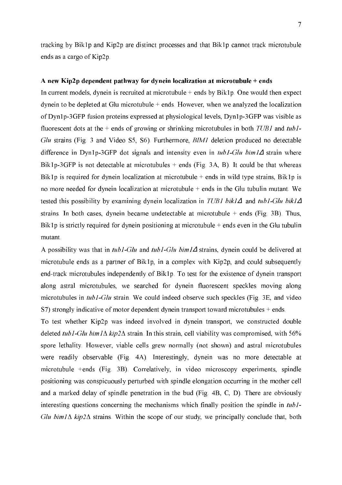tracking by Bik1p and Kip2p are distinct processes and that Bik1p cannot track microtubule ends as a cargo of Kip2p.

#### A new Kip2p dependent pathway for dynein localization at microtubule + ends

In current models, dynein is recruited at microtubule  $+$  ends by Bik1p. One would then expect dynein to be depleted at Glu microtubule + ends. However, when we analyzed the localization of Dyn1p-3GFP fusion proteins expressed at physiological levels, Dyn1p-3GFP was visible as fluorescent dots at the  $+$  ends of growing or shrinking microtubules in both  $TUBI$  and  $tubI-$ Glu strains (Fig. 3 and Video S5, S6). Furthermore, BIM1 deletion produced no detectable difference in Dyn1p-3GFP dot signals and intensity even in  $tub1-Glu \, bim1\Delta$  strain where Bik1p-3GFP is not detectable at microtubules + ends (Fig. 3A, B). It could be that whereas Bik1p is required for dynein localization at microtubule  $+$  ends in wild type strains, Bik1p is no more needed for dynein localization at microtubule + ends in the Glu tubulin mutant. We tested this possibility by examining dynein localization in  $TUBI$  bikl $\Delta$  and tubl-Glu bikl $\Delta$ strains. In both cases, dynein became undetectable at microtubule  $+$  ends (Fig. 3B). Thus, Bik1p is strictly required for dynein positioning at microtubule  $+$  ends even in the Glu tubulin mutant.

A possibility was that in tub1-Glu and tub1-Glu bim1 $\Delta$  strains, dynein could be delivered at microtubule ends as a partner of Bik1p, in a complex with Kip2p, and could subsequently end-track microtubules independently of Bik1p. To test for the existence of dynein transport along astral microtubules, we searched for dynein fluorescent speckles moving along microtubules in  $tub1-Glu$  strain. We could indeed observe such speckles (Fig. 3E, and video S7) strongly indicative of motor dependent dynein transport toward microtubules + ends.

To test whether Kip2p was indeed involved in dynein transport, we constructed double deleted tub1-Glu bim1 $\Delta$  kip2 $\Delta$  strain. In this strain, cell viability was compromised, with 56% spore lethality. However, viable cells grew normally (not shown) and astral microtubules were readily observable (Fig. 4A). Interestingly, dynein was no more detectable at microtubule +ends (Fig. 3B). Correlatively, in video microscopy experiments, spindle positioning was conspicuously perturbed with spindle elongation occurring in the mother cell and a marked delay of spindle penetration in the bud (Fig. 4B, C, D). There are obviously interesting questions concerning the mechanisms which finally position the spindle in  $tub1$ -Glu bim  $1\Delta$  kip2 $\Delta$  strains. Within the scope of our study, we principally conclude that, both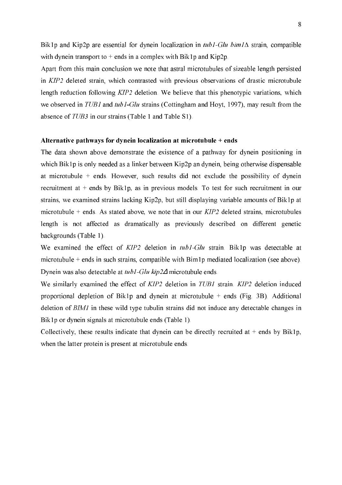Bik1p and Kip2p are essential for dynein localization in  $tub1-Glu \, bim1\Delta$  strain, compatible with dynein transport to  $+$  ends in a complex with Bik1p and Kip2p.

Apart from this main conclusion we note that astral microtubules of sizeable length persisted in KIP2 deleted strain, which contrasted with previous observations of drastic microtubule length reduction following  $KIP2$  deletion. We believe that this phenotypic variations, which we observed in TUB1 and tub1-Glu strains (Cottingham and Hoyt, 1997), may result from the absence of  $TUB3$  in our strains (Table 1 and Table S1).

#### Alternative pathways for dynein localization at microtubule + ends

The data shown above demonstrate the existence of a pathway for dynein positioning in which Bik1p is only needed as a linker between Kip2p an dynein, being otherwise dispensable at microtubule  $+$  ends. However, such results did not exclude the possibility of dynein recruitment at + ends by Bik1p, as in previous models. To test for such recruitment in our strains, we examined strains lacking Kip2p, but still displaying variable amounts of Bik1p at microtubule  $+$  ends. As stated above, we note that in our  $KIP2$  deleted strains, microtubules length is not affected as dramatically as previously described on different genetic backgrounds (Table 1).

We examined the effect of  $KIP2$  deletion in  $tub1-Glu$  strain. Bik1p was detectable at microtubule + ends in such strains, compatible with Bim1p mediated localization (see above). Dynein was also detectable at  $turb1$ -Glu kip2 $\Delta$  microtubule ends.

We similarly examined the effect of  $KIP2$  deletion in  $TUB1$  strain.  $KIP2$  deletion induced proportional depletion of Bik1p and dynein at microtubule + ends (Fig. 3B). Additional deletion of BIMI in these wild type tubulin strains did not induce any detectable changes in Bik1p or dynein signals at microtubule ends (Table 1).

Collectively, these results indicate that dynein can be directly recruited at  $+$  ends by Bik1p, when the latter protein is present at microtubule ends.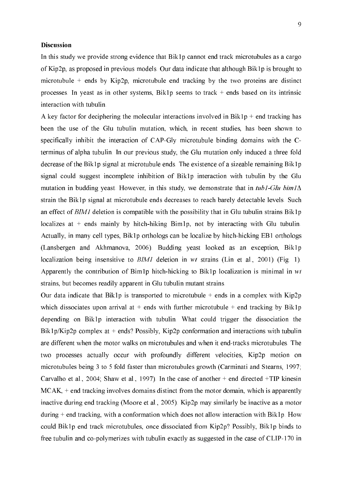#### Discussion

In this study we provide strong evidence that Bik1p cannot end track microtubules as a cargo of Kip2p, as proposed in previous models. Our data indicate that although Bik1p is brought to microtubule  $+$  ends by Kip2p, microtubule end tracking by the two proteins are distinct processes. In yeast as in other systems, Bik1p seems to track + ends based on its intrinsic interaction with tubulin.

A key factor for deciphering the molecular interactions involved in Bik1p + end tracking has been the use of the Glu tubulin mutation, which, in recent studies, has been shown to specifically inhibit the interaction of  $CAP-Gly$  microtubule binding domains with the  $C$ terminus of alpha tubulin. In our previous study, the Glu mutation only induced a three fold decrease of the Bik1p signal at microtubule ends. The existence of a sizeable remaining Bik1p signal could suggest incomplete inhibition of Bik1p interaction with tubulin by the Glu mutation in budding yeast. However, in this study, we demonstrate that in  $tub1-Glu \, bim1\Delta$ strain the Bik1p signal at microtubule ends decreases to reach barely detectable levels. Such an effect of  $BMI$  deletion is compatible with the possibility that in Glu tubulin strains Bik1p localizes at  $+$  ends mainly by hitch-hiking Bim1p, not by interacting with Glu tubulin. Actually, in many cell types, Bik1p orthologs can be localize by hitch-hicking EB1 orthologs (Lansbergen and Akhmanova, 2006). Budding yeast looked as an exception, Bik1p localization being insensitive to  $BIMI$  deletion in wt strains (Lin et al., 2001) (Fig. 1). Apparently the contribution of Bim1p hitch-hicking to Bik1p localization is minimal in  $wt$ strains, but becomes readily apparent in Glu tubulin mutant strains.

Our data indicate that Bik1p is transported to microtubule  $+$  ends in a complex with Kip2p which dissociates upon arrival at  $+$  ends with further microtubule  $+$  end tracking by Bik1p depending on Bik1p interaction with tubulin. What could trigger the dissociation the Bik1p/Kip2p complex at  $+$  ends? Possibly, Kip2p conformation and interactions with tubulin are different when the motor walks on microtubules and when it end-tracks microtubules. The two processes actually occur with profoundly different velocities, Kip2p motion on microtubules being 3 to 5 fold faster than microtubules growth (Carminati and Stearns, 1997; Carvalho et al., 2004; Shaw et al., 1997). In the case of another + end directed +TIP kinesin  $MCAK$ ,  $+$  end tracking involves domains distinct from the motor domain, which is apparently inactive during end tracking (Moore et al., 2005). Kip2p may similarly be inactive as a motor during + end tracking, with a conformation which does not allow interaction with Bik1p. How could Bik1p end track microtubules, once dissociated from Kip2p? Possibly, Bik1p binds to free tubulin and co-polymerizes with tubulin exactly as suggested in the case of CLIP-170 in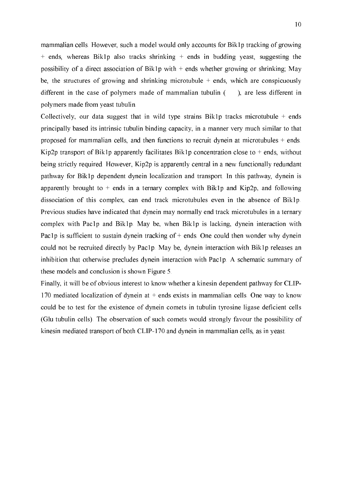mammalian cells. However, such a model would only accounts for Bik1p tracking of growing  $+$  ends, whereas Bik1p also tracks shrinking  $+$  ends in budding yeast, suggesting the possibility of a direct association of Bik1p with + ends whether growing or shrinking; May be, the structures of growing and shrinking microtubule  $+$  ends, which are conspicuously different in the case of polymers made of mammalian tubulin (), are less different in polymers made from yeast tubulin.

Collectively, our data suggest that in wild type strains Bik1p tracks microtubule  $+$  ends principally based its intrinsic tubulin binding capacity, in a manner very much similar to that proposed for mammalian cells, and then functions to recruit dynein at microtubules + ends. Kip2p transport of Bik1p apparently facilitates Bik1p concentration close to  $+$  ends, without being strictly required. However, Kip2p is apparently central in a new functionally redundant pathway for Bik1p dependent dynein localization and transport. In this pathway, dynein is apparently brought to  $+$  ends in a ternary complex with Bik1p and Kip2p, and following dissociation of this complex, can end track microtubules even in the absence of Bik1p. Previous studies have indicated that dynein may normally end track microtubules in a ternary complex with Pac1p and Bik1p. May be, when Bik1p is lacking, dynein interaction with Pac1p is sufficient to sustain dynein tracking of + ends. One could then wonder why dynein could not be recruited directly by Pac1p. May be, dynein interaction with Bik1p releases an inhibition that otherwise precludes dynein interaction with Pac1p. A schematic summary of these models and conclusion is shown Figure 5.

Finally, it will be of obvious interest to know whether a kinesin dependent pathway for CLIP-170 mediated localization of dynein at  $+$  ends exists in mammalian cells. One way to know could be to test for the existence of dynein comets in tubulin tyrosine ligase deficient cells (Glu tubulin cells). The observation of such comets would strongly favour the possibility of kinesin mediated transport of both CLIP-170 and dynein in mammalian cells, as in yeast.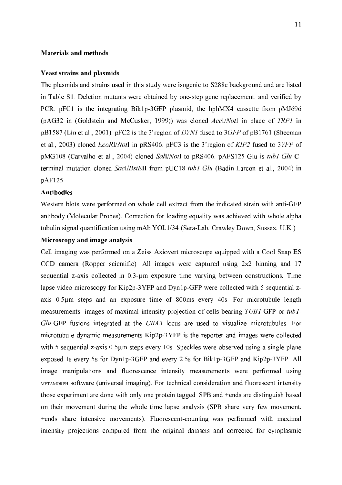#### **Materials and methods**

#### **Yeast strains and plasmids**

The plasmids and strains used in this study were isogenic to S288c background and are listed in Table S1. Deletion mutants were obtained by one-step gene replacement, and verified by PCR. pFC1 is the integrating Bik1p-3GFP plasmid, the hphMX4 cassette from pMJ696 (pAG32 in (Goldstein and McCusker, 1999)) was cloned  $AccI/NotI$  in place of  $TRPI$  in pB1587 (Lin et al., 2001). pFC2 is the 3'region of  $DYNI$  fused to 3 GFP of pB1761 (Sheeman et al., 2003) cloned  $EcoRI/NoI$  in pRS406. pFC3 is the 3'region of  $KIP2$  fused to 3YFP of pMG108 (Carvalho et al., 2004) cloned Sall/NotI to pRS406. pAFS125-Glu is tub1-Glu Cterminal mutation cloned SacI/BstEII from pUC18-tub1-Glu (Badin-Larcon et al., 2004) in pAF125.

#### **Antibodies**

Western blots were performed on whole cell extract from the indicated strain with anti-GFP antibody (Molecular Probes). Correction for loading equality was achieved with whole alpha tubulin signal quantification using mAb YOL1/34 (Sera-Lab, Crawley Down, Sussex, U.K.).

#### Microscopy and image analysis

Cell imaging was performed on a Zeiss Axiovert microscope equipped with a Cool Snap ES CCD camera (Ropper scientific). All images were captured using 2x2 binning and 17 sequential z-axis collected in 0.3-um exposure time varying between constructions. Time lapse video microscopy for Kip2p-3YFP and Dyn1p-GFP were collected with 5 sequential zaxis  $0.5\mu$ m steps and an exposure time of 800ms every 40s. For microtubule length measurements: images of maximal intensity projection of cells bearing  $TUBI$ -GFP or  $tubI$ - $Glu$ -GFP fusions integrated at the  $URA3$  locus are used to visualize microtubules. For microtubule dynamic measurements  $Kip2p-3YFP$  is the reporter and images were collected with 5 sequential z-axis  $0.5\mu$ m steps every 10s. Speckles were observed using a single plane exposed 1s every 5s for Dyn1p-3GFP and every 2.5s for Bik1p-3GFP and Kip2p-3YFP. All image manipulations and fluorescence intensity measurements were performed using METAMORPH SOftware (universal imaging). For technical consideration and fluorescent intensity those experiment are done with only one protein tagged. SPB and +ends are distinguish based on their movement during the whole time lapse analysis (SPB share very few movement, +ends share intensive movements). Fluorescent-counting was performed with maximal intensity projections computed from the original datasets and corrected for cytoplasmic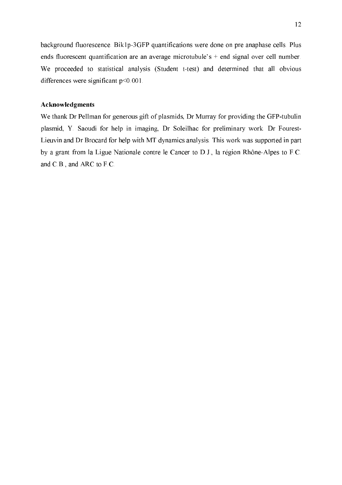background fluorescence. Bik1p-3GFP quantifications were done on pre anaphase cells. Plus ends fluorescent quantification are an average microtubule's + end signal over cell number. We proceeded to statistical analysis (Student t-test) and determined that all obvious differences were significant p<0.001.

#### Acknowledgments

We thank Dr Pellman for generous gift of plasmids, Dr Murray for providing the GFP-tubulin plasmid, Y. Saoudi for help in imaging, Dr Soleilhac for preliminary work. Dr Fourest-Lieuvin and Dr Brocard for help with MT dynamics analysis. This work was supported in part by a grant from la Ligue Nationale contre le Cancer to D.J., la région Rhône-Alpes to F.C. and C.B., and ARC to F.C.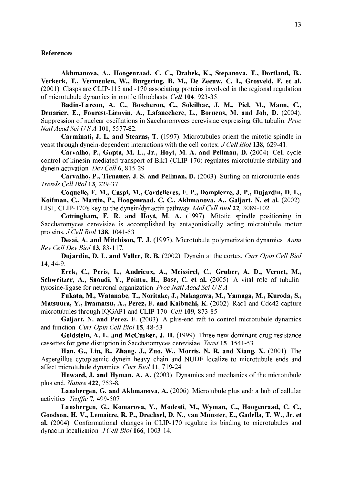#### References

Akhmanova, A., Hoogenraad, C. C., Drabek, K., Stepanova, T., Dortland, B., Verkerk, T., Vermeulen, W., Burgering, B. M., De Zeeuw, C. I., Grosveld, F. et al.  $(2001)$ . Clasps are CLIP-115 and -170 associating proteins involved in the regional regulation of microtubule dynamics in motile fibroblasts. Cell 104, 923-35.

Badin-Larcon, A. C., Boscheron, C., Soleilhac, J. M., Piel, M., Mann, C., Denarier, E., Fourest-Lieuvin, A., Lafanechere, L., Bornens, M. and Job, D. (2004). Suppression of nuclear oscillations in Saccharomyces cerevisiae expressing Glu tubulin. *Proc* Natl Acad Sci U S A 101, 5577-82.

Carminati, J. L. and Stearns, T. (1997). Microtubules orient the mitotic spindle in yeast through dynein-dependent interactions with the cell cortex.  $J$  Cell Biol 138, 629-41.

Carvalho, P., Gupta, M. L., Jr., Hoyt, M. A. and Pellman, D.  $(2004)$ . Cell cycle control of kinesin-mediated transport of Bik1 (CLIP-170) regulates microtubule stability and dynein activation. Dev Cell  $6.815-29.$ 

Carvalho, P., Tirnauer, J. S. and Pellman, D. (2003). Surfing on microtubule ends. Trends Cell Biol 13, 229-37.

Coquelle, F. M., Caspi, M., Cordelieres, F. P., Dompierre, J. P., Dujardin, D. L., Koifman, C., Martin, P., Hoogenraad, C. C., Akhmanova, A., Galjart, N. et al. (2002). LIS1, CLIP-170's key to the dynein/dynactin pathway. Mol Cell Biol 22, 3089-102.

Cottingham, F. R. and Hoyt, M. A.  $(1997)$ . Mitotic spindle positioning in Saccharomyces cerevisiae is accomplished by antagonistically acting microtubule motor proteins. *J Cell Biol* 138, 1041-53.

**Desai, A. and Mitchison, T. J.** (1997). Microtubule polymerization dynamics. Annu **Rev Cell Dev Biol 13, 83-117.** 

Dujardin, D. L. and Vallee, R. B. (2002). Dynein at the cortex. Curr Opin Cell Biol 14, 44-9.

Erck, C., Peris, L., Andrieux, A., Meissirel, C., Gruber, A. D., Vernet, M., Schweitzer, A., Saoudi, Y., Pointu, H., Bosc, C. et al. (2005). A vital role of tubulintyrosine-ligase for neuronal organization. Proc Natl Acad Sci U S  $\vec{A}$ .

Fukata, M., Watanabe, T., Noritake, J., Nakagawa, M., Yamaga, M., Kuroda, S., Matsuura, Y., Iwamatsu, A., Perez, F. and Kaibuchi, K. (2002). Rac1 and Cdc42 capture microtubules through IQGAP1 and CLIP-170. Cell 109, 873-85.

Galjart, N. and Perez, F. (2003). A plus-end raft to control microtubule dynamics and function. Curr Opin Cell Biol 15, 48-53.

Goldstein, A. L. and McCusker, J. H. (1999). Three new dominant drug resistance cassettes for gene disruption in Saccharomyces cerevisiae. Yeast 15, 1541-53.

Han, G., Liu, B., Zhang, J., Zuo, W., Morris, N. R. and Xiang, X. (2001). The Aspergillus cytoplasmic dynein heavy chain and NUDF localize to microtubule ends and affect microtubule dynamics. Curr Biol 11, 719-24.

Howard, J. and Hyman, A. A. (2003). Dynamics and mechanics of the microtubule plus end. Nature 422, 753-8.

Lansbergen, G. and Akhmanova, A. (2006). Microtubule plus end: a hub of cellular activities. Traffic 7, 499-507.

Lansbergen, G., Komarova, Y., Modesti, M., Wyman, C., Hoogenraad, C. C., Goodson, H. V., Lemaitre, R. P., Drechsel, D. N., van Munster, E., Gadella, T. W., Jr. et al. (2004). Conformational changes in CLIP-170 regulate its binding to microtubules and dynactin localization.  $J$  Cell Biol 166, 1003-14.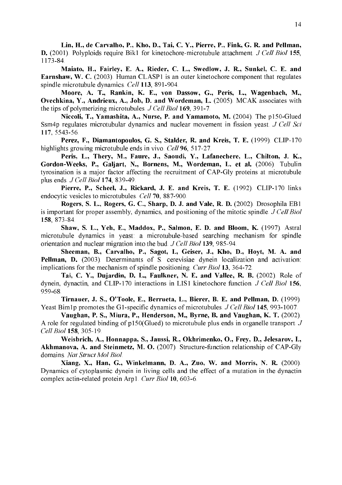Lin, H., de Carvalho, P., Kho, D., Tai, C. Y., Pierre, P., Fink, G. R. and Pellman, **D.** (2001). Polyploids require Bik1 for kinetochore-microtubule attachment. *J Cell Biol* 155, 1173-84.

Maiato, H., Fairley, E. A., Rieder, C. L., Swedlow, J. R., Sunkel, C. E. and Earnshaw, W. C. (2003). Human CLASP1 is an outer kinetochore component that regulates spindle microtubule dynamics. Cell 113, 891-904.

Moore, A. T., Rankin, K. E., von Dassow, G., Peris, L., Wagenbach, M., Ovechkina, Y., Andrieux, A., Job, D. and Wordeman, L. (2005). MCAK associates with the tips of polymerizing microtubules.  $JCell Biol$  169, 391-7.

Niccoli, T., Yamashita, A., Nurse, P. and Yamamoto, M. (2004). The p150-Glued Ssm4p regulates microtubular dynamics and nuclear movement in fission yeast.  $J$  Cell Sci 117, 5543-56.

Perez, F., Diamantopoulos, G. S., Stalder, R. and Kreis, T. E. (1999). CLIP-170 highlights growing microtubule ends in vivo.  $Cell$  96, 517-27.

Peris, L., Thery, M., Faure, J., Saoudi, Y., Lafanechere, L., Chilton, J. K., Gordon-Weeks, P., Galjart, N., Bornens, M., Wordeman, L. et al. (2006). Tubulin tyrosination is a major factor affecting the recruitment of CAP-Gly proteins at microtubule plus ends.  $J$  Cell Biol 174, 839-49.

Pierre, P., Scheel, J., Rickard, J. E. and Kreis, T. E. (1992). CLIP-170 links endocytic vesicles to microtubules. Cell 70, 887-900.

Rogers, S. L., Rogers, G. C., Sharp, D. J. and Vale, R. D. (2002). Drosophila EB1 is important for proper assembly, dynamics, and positioning of the mitotic spindle.  $JCell Biol$ 158, 873-84.

Shaw, S. L., Yeh, E., Maddox, P., Salmon, E. D. and Bloom, K. (1997). Astral microtubule dynamics in yeast: a microtubule-based searching mechanism for spindle orientation and nuclear migration into the bud.  $J$  Cell Biol 139, 985-94.

Sheeman, B., Carvalho, P., Sagot, I., Geiser, J., Kho, D., Hoyt, M. A. and Pellman, D. (2003). Determinants of S. cerevisiae dynein localization and activation: implications for the mechanism of spindle positioning. Curr Biol 13, 364-72.

Tai, C. Y., Dujardin, D. L., Faulkner, N. E. and Vallee, R. B. (2002). Role of dynein, dynactin, and CLIP-170 interactions in LIS1 kinetochore function.  $J$  Cell Biol 156, 959-68.

Tirnauer, J. S., O'Toole, E., Berrueta, L., Bierer, B. E. and Pellman, D. (1999). Yeast Bim1p promotes the G1-specific dynamics of microtubules.  $JCell Biol$  145, 993-1007.

Vaughan, P. S., Miura, P., Henderson, M., Byrne, B. and Vaughan, K. T. (2002). A role for regulated binding of  $p150$ (Glued) to microtubule plus ends in organelle transport. J Cell Biol 158, 305-19.

Weisbrich, A., Honnappa, S., Jaussi, R., Okhrimenko, O., Frey, D., Jelesarov, I., Akhmanova, A. and Steinmetz, M. O. (2007). Structure-function relationship of CAP-Gly domains. Nat Struct Mol Biol.

Xiang, X., Han, G., Winkelmann, D. A., Zuo, W. and Morris, N. R. (2000). Dynamics of cytoplasmic dynein in living cells and the effect of a mutation in the dynactin complex actin-related protein Arp1. Curr Biol 10, 603-6.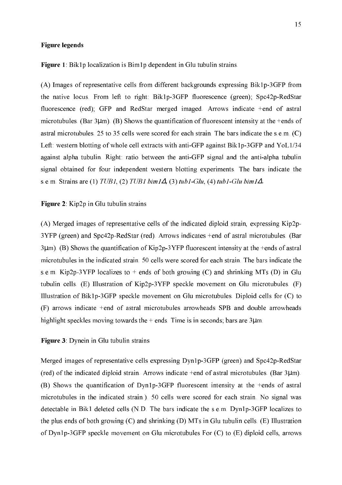#### **Figure legends**

Figure 1: Bik1p localization is Bim1p dependent in Glu tubulin strains.

(A) Images of representative cells from different backgrounds expressing Bik1p-3GFP from the native locus. From left to right: Bik1p-3GFP fluorescence (green); Spc42p-RedStar fluorescence (red); GFP and RedStar merged imaged. Arrows indicate +end of astral microtubules. (Bar  $3\mu$ m). (B) Shows the quantification of fluorescent intensity at the +ends of astral microtubules. 25 to 35 cells were scored for each strain. The bars indicate the s.e.m.  $(C)$ Left: western blotting of whole cell extracts with anti-GFP against Bik1p-3GFP and YoL1/34 against alpha tubulin. Right: ratio between the anti-GFP signal and the anti-alpha tubulin signal obtained for four independent western blotting experiments. The bars indicate the s.e.m. Strains are (1) TUB1, (2) TUB1 bim1 $\Delta$ , (3) tub1-Glu, (4) tub1-Glu bim1 $\Delta$ .

#### Figure 2: Kip2p in Glu tubulin strains

(A) Merged images of representative cells of the indicated diploid strain, expressing Kip2p-3YFP (green) and Spc42p-RedStar (red). Arrows indicates +end of astral microtubules. (Bar  $3\mu$ m). (B) Shows the quantification of Kip2p-3YFP fluorescent intensity at the +ends of astral microtubules in the indicated strain. 50 cells were scored for each strain. The bars indicate the s.e.m. Kip2p-3YFP localizes to  $+$  ends of both growing (C) and shrinking MTs (D) in Glu tubulin cells. (E) Illustration of Kip2p-3YFP speckle movement on Glu microtubules. (F) Illustration of Bik1p-3GFP speckle movement on Glu microtubules. Diploid cells for (C) to (F) arrows indicate +end of astral microtubules arrowheads SPB and double arrowheads highlight speckles moving towards the  $+$  ends. Time is in seconds; bars are  $3\mu$ m.

#### Figure 3: Dynein in Glu tubulin strains

Merged images of representative cells expressing Dyn1p-3GFP (green) and Spc42p-RedStar (red) of the indicated diploid strain. Arrows indicate  $+$ end of astral microtubules. (Bar  $3\mu$ m). (B) Shows the quantification of Dyn1p-3GFP fluorescent intensity at the +ends of astral microtubules in the indicated strain.). 50 cells were scored for each strain. No signal was detectable in Bik1 deleted cells (N.D. The bars indicate the s.e.m. Dyn1p-3GFP localizes to the plus ends of both growing  $(C)$  and shrinking  $(D)$  MTs in Glu tubulin cells.  $(E)$  Illustration of Dyn1p-3GFP speckle movement on Glu microtubules For  $(C)$  to  $(E)$  diploid cells, arrows